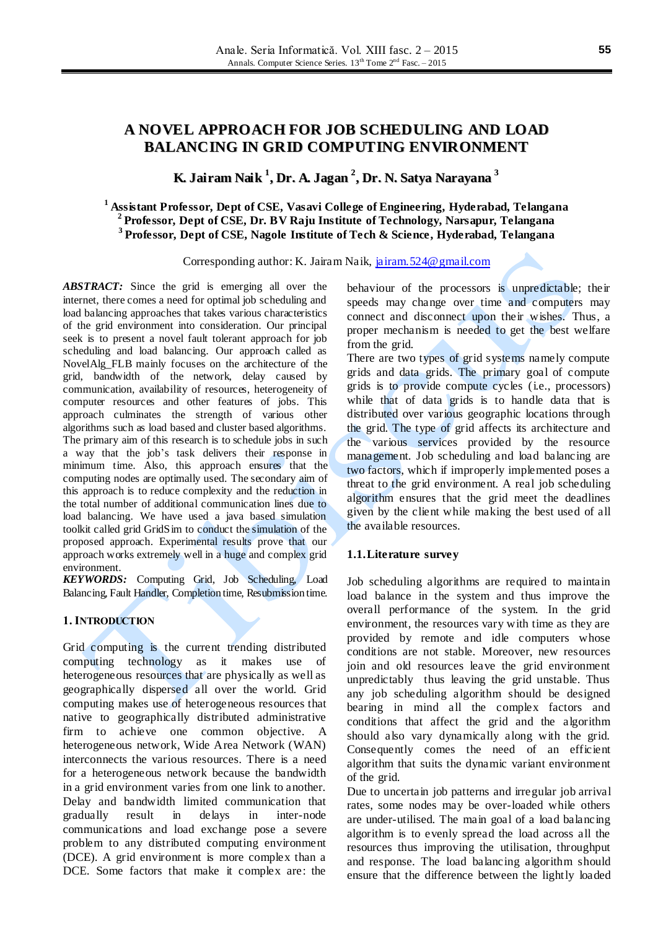# **A NOVEL APPROACH FOR JOB SCHEDULING AND LOAD BALANCING IN GRID COMPUTING ENVIRONMENT**

# **K. Jairam Naik 1 , Dr. A. Jagan 2 , Dr. N. Satya Narayana 3**

# **<sup>1</sup> Assistant Professor, Dept of CSE, Vasavi College of Engineering, Hyderabad, Telangana 2 Professor, Dept of CSE, Dr. BV Raju Institute of Technology, Narsapur, Telangana 3 Professor, Dept of CSE, Nagole Institute of Tech & Science, Hyderabad, Telangana**

Corresponding author: K. Jairam Naik, [jairam.524@gmail.com](mailto:jairam.524@gmail.com)

*ABSTRACT:* Since the grid is emerging all over the internet, there comes a need for optimal job scheduling and load balancing approaches that takes various characteristics of the grid environment into consideration. Our principal seek is to present a novel fault tolerant approach for job scheduling and load balancing. Our approach called as NovelAlg\_FLB mainly focuses on the architecture of the grid, bandwidth of the network, delay caused by communication, availability of resources, heterogeneity of computer resources and other features of jobs. This approach culminates the strength of various other algorithms such as load based and cluster based algorithms. The primary aim of this research is to schedule jobs in such a way that the job's task delivers their response in minimum time. Also, this approach ensures that the computing nodes are optimally used. The secondary aim of this approach is to reduce complexity and the reduction in the total number of additional communication lines due to load balancing. We have used a java based simulation toolkit called grid GridSim to conduct the simulation of the proposed approach. Experimental results prove that our approach works extremely well in a huge and complex grid environment.

*KEYWORDS:* Computing Grid, Job Scheduling, Load Balancing, Fault Handler, Completion time, Resubmission time.

## **1. INTRODUCTION**

Grid computing is the current trending distributed computing technology as it makes use of heterogeneous resources that are physically as well as geographically dispersed all over the world. Grid computing makes use of heterogeneous resources that native to geographically distributed administrative firm to achieve one common objective. A heterogeneous network, Wide Area Network (WAN) interconnects the various resources. There is a need for a heterogeneous network because the bandwidth in a grid environment varies from one link to another. Delay and bandwidth limited communication that gradually result in delays in inter-node communications and load exchange pose a severe problem to any distributed computing environment (DCE). A grid environment is more complex than a DCE. Some factors that make it complex are: the

behaviour of the processors is unpredictable; their speeds may change over time and computers may connect and disconnect upon their wishes. Thus, a proper mechanism is needed to get the best welfare from the grid.

There are two types of grid systems namely compute grids and data grids. The primary goal of compute grids is to provide compute cycles (i.e., processors) while that of data grids is to handle data that is distributed over various geographic locations through the grid. The type of grid affects its architecture and the various services provided by the resource management. Job scheduling and load balancing are two factors, which if improperly implemented poses a threat to the grid environment. A real job scheduling algorithm ensures that the grid meet the deadlines given by the client while making the best used of all the available resources.

#### **1.1.Literature survey**

Job scheduling algorithms are required to maintain load balance in the system and thus improve the overall performance of the system. In the grid environment, the resources vary with time as they are provided by remote and idle computers whose conditions are not stable. Moreover, new resources join and old resources leave the grid environment unpredictably thus leaving the grid unstable. Thus any job scheduling algorithm should be designed bearing in mind all the complex factors and conditions that affect the grid and the algorithm should also vary dynamically along with the grid. Consequently comes the need of an efficient algorithm that suits the dynamic variant environment of the grid.

Due to uncertain job patterns and irregular job arrival rates, some nodes may be over-loaded while others are under-utilised. The main goal of a load balancing algorithm is to evenly spread the load across all the resources thus improving the utilisation, throughput and response. The load balancing algorithm should ensure that the difference between the lightly loaded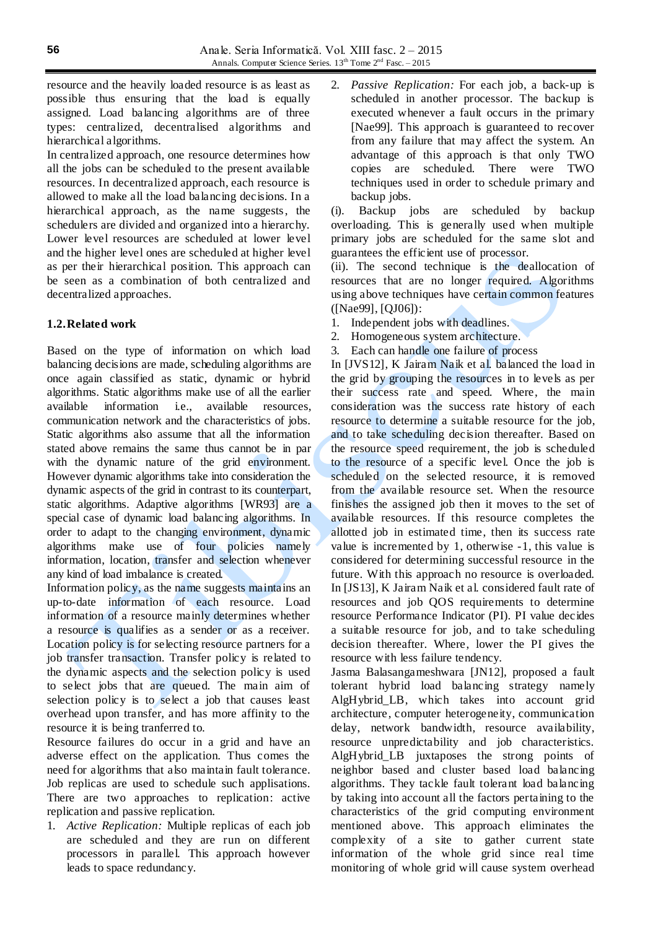resource and the heavily loaded resource is as least as possible thus ensuring that the load is equally assigned. Load balancing algorithms are of three types: centralized, decentralised algorithms and hierarchical algorithms.

In centralized approach, one resource determines how all the jobs can be scheduled to the present available resources. In decentralized approach, each resource is allowed to make all the load balancing decisions. In a hierarchical approach, as the name suggests, the schedulers are divided and organized into a hierarchy. Lower level resources are scheduled at lower level and the higher level ones are scheduled at higher level as per their hierarchical position. This approach can be seen as a combination of both centralized and decentralized approaches.

## **1.2.Related work**

Based on the type of information on which load balancing decisions are made, scheduling algorithms are once again classified as static, dynamic or hybrid algorithms. Static algorithms make use of all the earlier available information i.e., available resources, communication network and the characteristics of jobs. Static algorithms also assume that all the information stated above remains the same thus cannot be in par with the dynamic nature of the grid environment. However dynamic algorithms take into consideration the dynamic aspects of the grid in contrast to its counterpart, static algorithms. Adaptive algorithms [WR93] are a special case of dynamic load balancing algorithms. In order to adapt to the changing environment, dynamic algorithms make use of four policies namely information, location, transfer and selection whenever any kind of load imbalance is created.

Information policy, as the name suggests maintains an up-to-date information of each resource. Load information of a resource mainly determines whether a resource is qualifies as a sender or as a receiver. Location policy is for selecting resource partners for a job transfer transaction. Transfer policy is related to the dynamic aspects and the selection policy is used to select jobs that are queued. The main aim of selection policy is to select a job that causes least overhead upon transfer, and has more affinity to the resource it is being tranferred to.

Resource failures do occur in a grid and have an adverse effect on the application. Thus comes the need for algorithms that also maintain fault tolerance. Job replicas are used to schedule such applisations. There are two approaches to replication: active replication and passive replication.

1. *Active Replication:* Multiple replicas of each job are scheduled and they are run on different processors in parallel. This approach however leads to space redundancy.

2. *Passive Replication:* For each job, a back-up is scheduled in another processor. The backup is executed whenever a fault occurs in the primary [Nae99]. This approach is guaranteed to recover from any failure that may affect the system. An advantage of this approach is that only TWO copies are scheduled. There were TWO techniques used in order to schedule primary and backup jobs.

(i). Backup jobs are scheduled by backup overloading. This is generally used when multiple primary jobs are scheduled for the same slot and guarantees the efficient use of processor.

(ii). The second technique is the deallocation of resources that are no longer required. Algorithms using above techniques have certain common features ([Nae99], [QJ06]):

- 1. Independent jobs with deadlines.
- 2. Homogeneous system architecture.
- 3. Each can handle one failure of process

In [JVS12], K Jairam Naik et al. balanced the load in the grid by grouping the resources in to levels as per their success rate and speed. Where, the main consideration was the success rate history of each resource to determine a suitable resource for the job, and to take scheduling decision thereafter. Based on the resource speed requirement, the job is scheduled to the resource of a specific level. Once the job is scheduled on the selected resource, it is removed from the available resource set. When the resource finishes the assigned job then it moves to the set of available resources. If this resource completes the allotted job in estimated time, then its success rate value is incremented by 1, otherwise -1, this value is considered for determining successful resource in the future. With this approach no resource is overloaded. In [JS13], K Jairam Naik et al. considered fault rate of resources and job QOS requirements to determine resource Performance Indicator (PI). PI value decides a suitable resource for job, and to take scheduling decision thereafter. Where, lower the PI gives the resource with less failure tendency.

Jasma Balasangameshwara [JN12], proposed a fault tolerant hybrid load balancing strategy namely AlgHybrid\_LB, which takes into account grid architecture, computer heterogeneity, communication delay, network bandwidth, resource availability, resource unpredictability and job characteristics. AlgHybrid\_LB juxtaposes the strong points of neighbor based and cluster based load balancing algorithms. They tackle fault tolerant load balancing by taking into account all the factors pertaining to the characteristics of the grid computing environment mentioned above. This approach eliminates the complexity of a site to gather current state information of the whole grid since real time monitoring of whole grid will cause system overhead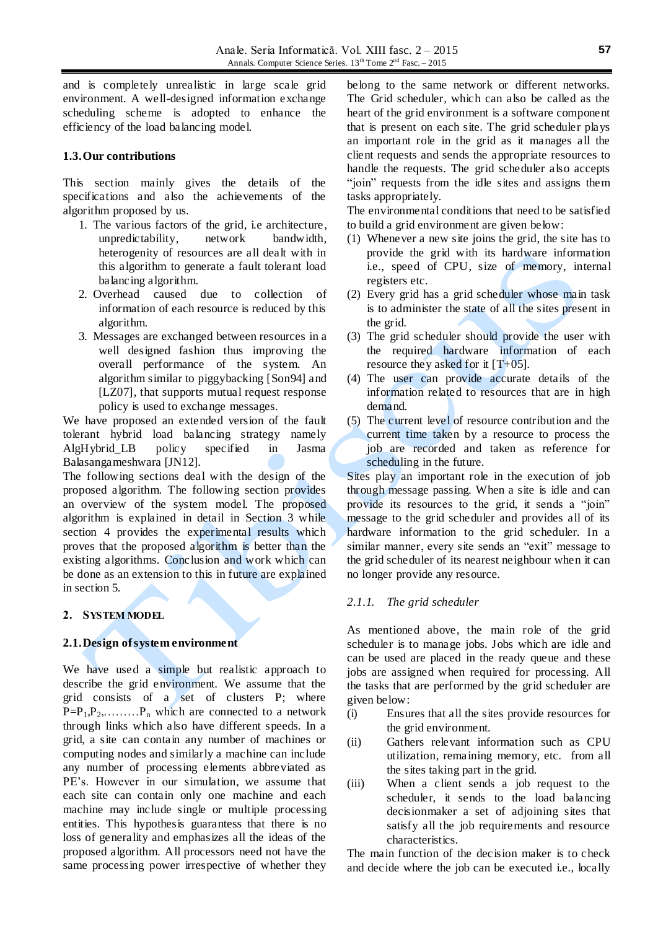and is completely unrealistic in large scale grid environment. A well-designed information exchange scheduling scheme is adopted to enhance the efficiency of the load balancing model.

## **1.3.Our contributions**

This section mainly gives the details of the specifications and also the achievements of the algorithm proposed by us.

- 1. The various factors of the grid, i.e architecture, unpredictability, network bandwidth, heterogenity of resources are all dealt with in this algorithm to generate a fault tolerant load balancing algorithm.
- 2. Overhead caused due to collection of information of each resource is reduced by this algorithm.
- 3. Messages are exchanged between resources in a well designed fashion thus improving the overall performance of the system. An algorithm similar to piggybacking [Son94] and [LZ07], that supports mutual request response policy is used to exchange messages.

We have proposed an extended version of the fault tolerant hybrid load balancing strategy namely AlgHybrid\_LB policy specified in Jasma Balasangameshwara [JN12].

The following sections deal with the design of the proposed algorithm. The following section provides an overview of the system model. The proposed algorithm is explained in detail in Section 3 while section 4 provides the experimental results which proves that the proposed algorithm is better than the existing algorithms. Conclusion and work which can be done as an extension to this in future are explained in section 5.

### **2. SYSTEM MODEL**

## **2.1.Design ofsystem environment**

We have used a simple but realistic approach to describe the grid environment. We assume that the grid consists of a set of clusters P; where  $P=P_1,P_2,\ldots,P_n$  which are connected to a network through links which also have different speeds. In a grid, a site can contain any number of machines or computing nodes and similarly a machine can include any number of processing elements abbreviated as PE's. However in our simulation, we assume that each site can contain only one machine and each machine may include single or multiple processing entities. This hypothesis guarantess that there is no loss of generality and emphasizes all the ideas of the proposed algorithm. All processors need not have the same processing power irrespective of whether they

belong to the same network or different networks. The Grid scheduler, which can also be called as the heart of the grid environment is a software component that is present on each site. The grid scheduler plays an important role in the grid as it manages all the client requests and sends the appropriate resources to handle the requests. The grid scheduler also accepts "join" requests from the idle sites and assigns them tasks appropriately.

The environmental conditions that need to be satisfied to build a grid environment are given below:

- (1) Whenever a new site joins the grid, the site has to provide the grid with its hardware information i.e., speed of CPU, size of memory, internal registers etc.
- (2) Every grid has a grid scheduler whose main task is to administer the state of all the sites present in the grid.
- (3) The grid scheduler should provide the user with the required hardware information of each resource they asked for it  $[T+05]$ .
- (4) The user can provide accurate details of the information related to resources that are in high demand.
- (5) The current level of resource contribution and the current time taken by a resource to process the job are recorded and taken as reference for scheduling in the future.

Sites play an important role in the execution of job through message passing. When a site is idle and can provide its resources to the grid, it sends a "join" message to the grid scheduler and provides all of its hardware information to the grid scheduler. In a similar manner, every site sends an "exit" message to the grid scheduler of its nearest neighbour when it can no longer provide any resource.

### *2.1.1. The grid scheduler*

As mentioned above, the main role of the grid scheduler is to manage jobs. Jobs which are idle and can be used are placed in the ready queue and these jobs are assigned when required for processing. All the tasks that are performed by the grid scheduler are given below:

- (i) Ensures that all the sites provide resources for the grid environment.
- (ii) Gathers relevant information such as CPU utilization, remaining memory, etc. from all the sites taking part in the grid.
- (iii) When a client sends a job request to the scheduler, it sends to the load balancing decisionmaker a set of adjoining sites that satisfy all the job requirements and resource characteristics.

The main function of the decision maker is to check and decide where the job can be executed i.e., locally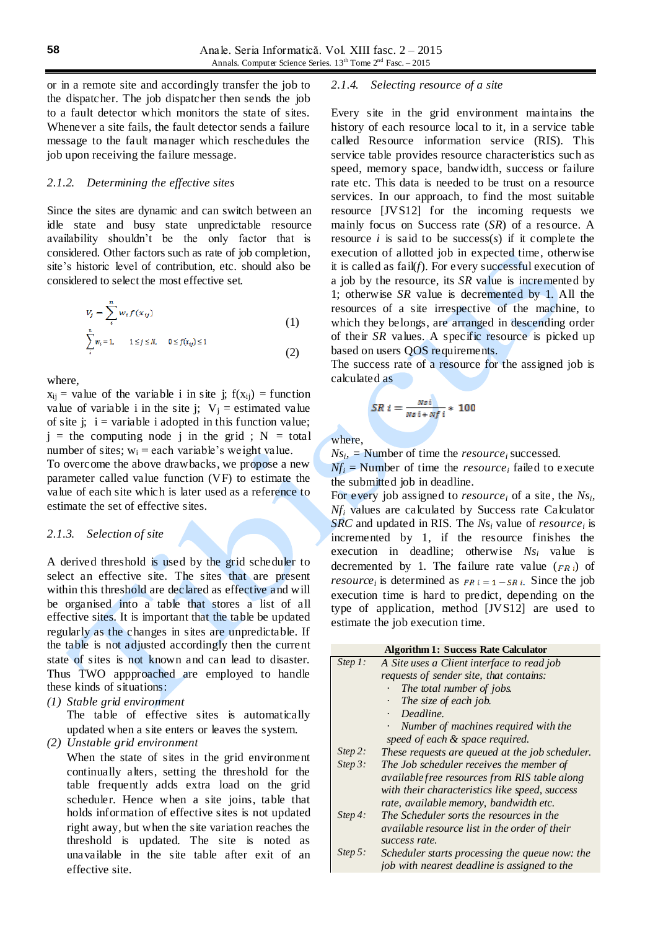or in a remote site and accordingly transfer the job to the dispatcher. The job dispatcher then sends the job to a fault detector which monitors the state of sites. Whenever a site fails, the fault detector sends a failure message to the fault manager which reschedules the job upon receiving the failure message.

### *2.1.2. Determining the effective sites*

Since the sites are dynamic and can switch between an idle state and busy state unpredictable resource availability shouldn't be the only factor that is considered. Other factors such as rate of job completion, site's historic level of contribution, etc. should also be considered to select the most effective set.

$$
V_j = \sum_{i}^{n} w_i f(x_{ij})
$$
  

$$
\sum_{i}^{n} w_i = 1, \quad 1 \le j \le N, \quad 0 \le f(x_{ij}) \le 1
$$
 (1)

where,

 $x_{ii}$  = value of the variable i in site j;  $f(x_{ii})$  = function value of variable i in the site j;  $V_i$  = estimated value of site j;  $i = \text{variable } i$  adopted in this function value;  $j =$  the computing node j in the grid;  $N =$  total number of sites;  $w_i$  = each variable's weight value. To overcome the above drawbacks, we propose a new parameter called value function (VF) to estimate the value of each site which is later used as a reference to estimate the set of effective sites.

#### *2.1.3. Selection of site*

A derived threshold is used by the grid scheduler to select an effective site. The sites that are present within this threshold are declared as effective and will be organised into a table that stores a list of all effective sites. It is important that the table be updated regularly as the changes in sites are unpredictable. If the table is not adjusted accordingly then the current state of sites is not known and can lead to disaster. Thus TWO appproached are employed to handle these kinds of situations:

*(1) Stable grid environment*

The table of effective sites is automatically updated when a site enters or leaves the system.

*(2) Unstable grid environment* 

When the state of sites in the grid environment continually alters, setting the threshold for the table frequently adds extra load on the grid scheduler. Hence when a site joins, table that holds information of effective sites is not updated right away, but when the site variation reaches the threshold is updated. The site is noted as unavailable in the site table after exit of an effective site.

### *2.1.4. Selecting resource of a site*

Every site in the grid environment maintains the history of each resource local to it, in a service table called Resource information service (RIS). This service table provides resource characteristics such as speed, memory space, bandwidth, success or failure rate etc. This data is needed to be trust on a resource services. In our approach, to find the most suitable resource [JVS12] for the incoming requests we mainly focus on Success rate (*SR*) of a resource. A resource  $i$  is said to be success( $s$ ) if it complete the execution of allotted job in expected time, otherwise it is called as fail(*f*). For every successful execution of a job by the resource, its *SR* value is incremented by 1; otherwise *SR* value is decremented by 1. All the resources of a site irrespective of the machine, to which they belongs, are arranged in descending order of their *SR* values. A specific resource is picked up based on users QOS requirements.

The success rate of a resource for the assigned job is calculated as

$$
SR\ i=\frac{N s\,i}{N s\,i+N f\,i}* \ 100
$$

where,

 $Ns_i$  = Number of time the *resource*<sup>*i*</sup> successed.

 $Nf_i$  = Number of time the *resource*<sub>*i*</sub> failed to execute the submitted job in deadline.

For every job assigned to *resource<sup>i</sup>* of a site, the *Ns<sup>i</sup> , Nf<sup>i</sup>* values are calculated by Success rate Calculator *SRC* and updated in RIS. The *Ns<sup>i</sup>* value of *resource<sup>i</sup>* is incremented by 1, if the resource finishes the execution in deadline; otherwise *Ns<sup>i</sup>* value is decremented by 1. The failure rate value  $(FR_i)$  of *resource*<sup>*i*</sup> is determined as  $FR i = 1 - SR i$ . Since the job execution time is hard to predict, depending on the type of application, method [JVS12] are used to estimate the job execution time.

| Step 1:    | A Site uses a Client interface to read job        |
|------------|---------------------------------------------------|
|            | requests of sender site, that contains:           |
|            | The total number of jobs.<br>$\ddot{\phantom{0}}$ |
|            | The size of each job.                             |
|            | Deadline.                                         |
|            | Number of machines required with the              |
|            | speed of each & space required.                   |
| Step 2:    | These requests are queued at the job scheduler.   |
| Step $3$ : | The Job scheduler receives the member of          |
|            | available free resources from RIS table along     |
|            | with their characteristics like speed, success    |
|            | rate, available memory, bandwidth etc.            |
| Step 4:    | The Scheduler sorts the resources in the          |
|            | available resource list in the order of their     |
|            | success rate.                                     |
| Step 5:    | Scheduler starts processing the queue now: the    |
|            | job with nearest deadline is assigned to the      |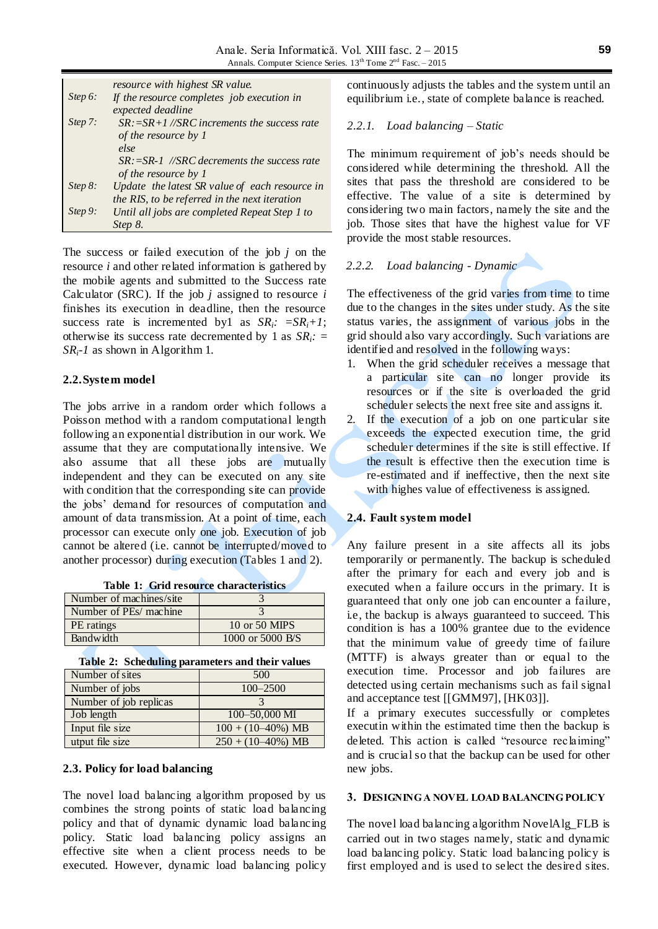|            | <i>resource with highest SR value.</i>           |
|------------|--------------------------------------------------|
| Step $6$ : | If the resource completes job execution in       |
|            | expected deadline                                |
| Step 7:    | $SR: = SR + 1 / SRC$ increments the success rate |
|            | of the resource by 1                             |
|            | else                                             |
|            | $SR: = SR-1$ //SRC decrements the success rate   |
|            | of the resource by 1                             |
| Step $8$ : | Update the latest SR value of each resource in   |
|            | the RIS, to be referred in the next iteration    |
| Step 9:    | Until all jobs are completed Repeat Step 1 to    |
|            | Step 8.                                          |

The success or failed execution of the job *j* on the resource *i* and other related information is gathered by the mobile agents and submitted to the Success rate Calculator (SRC). If the job *j* assigned to resource *i* finishes its execution in deadline, then the resource success rate is incremented by1 as  $SR_i$ :  $= SR_i + 1$ ; otherwise its success rate decremented by 1 as *SRi: = SRi-1* as shown in Algorithm 1.

#### **2.2.System model**

The jobs arrive in a random order which follows a Poisson method with a random computational length following an exponential distribution in our work. We assume that they are computationally intensive. We also assume that all these jobs are mutually independent and they can be executed on any site with condition that the corresponding site can provide the jobs' demand for resources of computation and amount of data transmission. At a point of time, each processor can execute only one job. Execution of job cannot be altered (i.e. cannot be interrupted/moved to another processor) during execution (Tables 1 and 2).

|  |  | <b>Table 1: Grid resource characteristics</b> |  |  |
|--|--|-----------------------------------------------|--|--|
|--|--|-----------------------------------------------|--|--|

| Number of machines/site |                  |
|-------------------------|------------------|
| Number of PEs/ machine  |                  |
| PE ratings              | 10 or 50 MIPS    |
| Bandwidth               | 1000 or 5000 B/S |

**Table 2: Scheduling parameters and their values**

| --                     |                                |  |
|------------------------|--------------------------------|--|
| Number of sites        | 500                            |  |
| Number of jobs         | $100 - 2500$                   |  |
| Number of job replicas |                                |  |
| Job length             | $100 - 50,000$ MI              |  |
| Input file size        | $100 + (10 - 40\%) \text{ MB}$ |  |
| utput file size        | $250 + (10 - 40\%) \text{ MB}$ |  |

#### **2.3. Policy for load balancing**

The novel load balancing algorithm proposed by us combines the strong points of static load balancing policy and that of dynamic dynamic load balancing policy. Static load balancing policy assigns an effective site when a client process needs to be executed. However, dynamic load balancing policy continuously adjusts the tables and the system until an equilibrium i.e., state of complete balance is reached.

#### *2.2.1. Load balancing – Static*

The minimum requirement of job's needs should be considered while determining the threshold. All the sites that pass the threshold are considered to be effective. The value of a site is determined by considering two main factors, namely the site and the job. Those sites that have the highest value for VF provide the most stable resources.

# *2.2.2. Load balancing - Dynamic*

The effectiveness of the grid varies from time to time due to the changes in the sites under study. As the site status varies, the assignment of various jobs in the grid should also vary accordingly. Such variations are identified and resolved in the following ways:

- 1. When the grid scheduler receives a message that a particular site can no longer provide its resources or if the site is overloaded the grid scheduler selects the next free site and assigns it.
- 2. If the execution of a job on one particular site exceeds the expected execution time, the grid scheduler determines if the site is still effective. If the result is effective then the execution time is re-estimated and if ineffective, then the next site with highes value of effectiveness is assigned.

#### **2.4. Fault system model**

Any failure present in a site affects all its jobs temporarily or permanently. The backup is scheduled after the primary for each and every job and is executed when a failure occurs in the primary. It is guaranteed that only one job can encounter a failure, i.e, the backup is always guaranteed to succeed. This condition is has a 100% grantee due to the evidence that the minimum value of greedy time of failure (MTTF) is always greater than or equal to the execution time. Processor and job failures are detected using certain mechanisms such as fail signal and acceptance test [[GMM97], [HK03]].

If a primary executes successfully or completes executin within the estimated time then the backup is deleted. This action is called "resource reclaiming" and is crucial so that the backup can be used for other new jobs.

#### **3. DESIGNING A NOVEL LOAD BALANCING POLICY**

The novel load balancing algorithm NovelAlg\_FLB is carried out in two stages namely, static and dynamic load balancing policy. Static load balancing policy is first employed and is used to select the desired sites.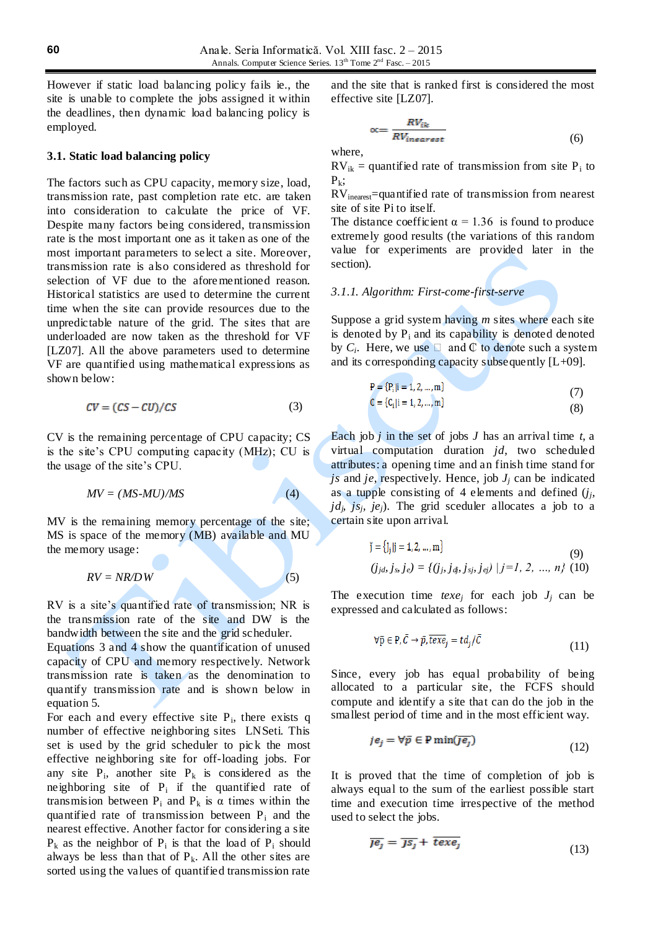However if static load balancing policy fails ie., the site is unable to complete the jobs assigned it within the deadlines, then dynamic load balancing policy is employed.

#### **3.1. Static load balancing policy**

The factors such as CPU capacity, memory size, load, transmission rate, past completion rate etc. are taken into consideration to calculate the price of VF. Despite many factors being considered, transmission rate is the most important one as it taken as one of the most important parameters to select a site. Moreover, transmission rate is also considered as threshold for selection of VF due to the aforementioned reason. Historical statistics are used to determine the current time when the site can provide resources due to the unpredictable nature of the grid. The sites that are underloaded are now taken as the threshold for VF [LZ07]. All the above parameters used to determine VF are quantified using mathematical expressions as shown below:

$$
CV = (CS - CU)/CS \tag{3}
$$

CV is the remaining percentage of CPU capacity; CS is the site's CPU computing capacity (MHz); CU is the usage of the site's CPU.

$$
MV = (MS\text{-}MU)/MS \tag{4}
$$

 $\blacktriangle$ 

MV is the remaining memory percentage of the site; MS is space of the memory (MB) available and MU the memory usage:

$$
RV = NR/DW
$$
 (5)

RV is a site's quantified rate of transmission; NR is the transmission rate of the site and DW is the bandwidth between the site and the grid scheduler.

Equations 3 and 4 show the quantification of unused capacity of CPU and memory respectively. Network transmission rate is taken as the denomination to quantify transmission rate and is shown below in equation 5.

For each and every effective site  $P_i$ , there exists q number of effective neighboring sites LNSeti. This set is used by the grid scheduler to pick the most effective neighboring site for off-loading jobs. For any site  $P_i$ , another site  $P_k$  is considered as the neighboring site of  $P_i$  if the quantified rate of transmision between  $P_i$  and  $P_k$  is  $\alpha$  times within the quantified rate of transmission between  $P_i$  and the nearest effective. Another factor for considering a site  $P_k$  as the neighbor of  $P_i$  is that the load of  $P_i$  should always be less than that of  $P_k$ . All the other sites are sorted using the values of quantified transmission rate

and the site that is ranked first is considered the most effective site [LZ07].

$$
\alpha = \frac{RV_{ik}}{RV_{inearest}}
$$
 (6)

where,

 $RV_{ik}$  = quantified rate of transmission from site  $P_i$  to  $P_k$ ;

RVinearest=quantified rate of transmission from nearest site of site Pi to itself.

The distance coefficient  $\alpha = 1.36$  is found to produce extremely good results (the variations of this random value for experiments are provided later in the section).

### *3.1.1. Algorithm: First-come-first-serve*

Suppose a grid system having *m* sites where each site is denoted by  $P_i$  and its capability is denoted denoted by  $C_i$ . Here, we use  $\Box$  and  $\mathbb C$  to denote such a system and its corresponding capacity subsequently  $[L+09]$ .

$$
P = {Pi |i = 1, 2, ..., m}C = {Ci |i = 1, 2, ..., m}
$$
\n(7)

Each job *j* in the set of jobs *J* has an arrival time *t*, a virtual computation duration *jd*, two scheduled attributes: a opening time and an finish time stand for *js* and *je*, respectively. Hence, job  $J_i$  can be indicated as a tupple consisting of 4 elements and defined  $(j_j, j_j)$  $jd_j$   $js_j$ ,  $je_j$ ). The grid sceduler allocates a job to a certain site upon arrival.

$$
\check{\mathbf{j}} = \{ \mathbf{j}_j | \mathbf{j} = 1, 2, ..., \mathbf{m} \}
$$
(9)  
(*j<sub>ib</sub>*, *j<sub>s</sub>*, *j<sub>e</sub>*) = {(*j<sub>j</sub>*, *j<sub>g</sub>*, *j<sub>g</sub>*, *j<sub>ej</sub>*) | *j* = 1, 2, ..., *n*} (10)

The execution time *texe<sub>j</sub>* for each job  $J_j$  can be expressed and calculated as follows:

$$
\forall \bar{p} \in P, \bar{C} \to \bar{p}, \overline{texe}_j = td_j/\bar{C}
$$
\n(11)

Since, every job has equal probability of being allocated to a particular site, the FCFS should compute and identify a site that can do the job in the smallest period of time and in the most efficient way.

$$
j e_j = \forall \bar{p} \in \mathbf{P} \min(\overline{j e_j}) \tag{12}
$$

It is proved that the time of completion of job is always equal to the sum of the earliest possible start time and execution time irrespective of the method used to select the jobs.

$$
\overline{J} \overline{e_j} = \overline{J} \overline{s_j} + \overline{te} x \overline{e_j} \tag{13}
$$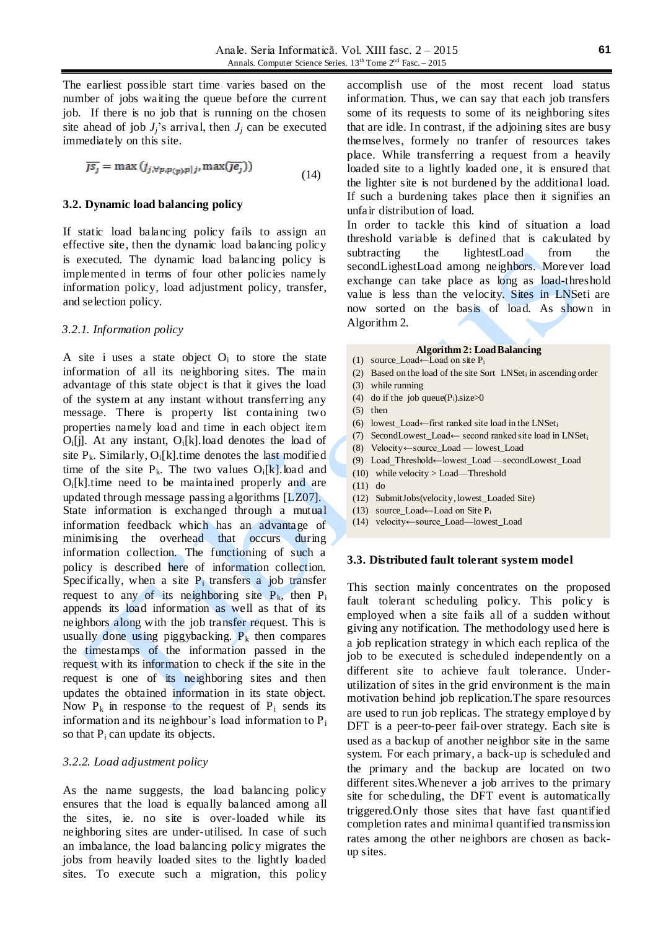The earliest possible start time varies based on the number of jobs waiting the queue before the current job. If there is no job that is running on the chosen site ahead of job  $J_i$ 's arrival, then  $J_i$  can be executed immediately on this site.

$$
\overline{JS_j} = \max(j_{j, \forall p, p(p), p|j}, \max(\overline{Je_j}))
$$
\n(14)

#### **3.2. Dynamic load balancing policy**

If static load balancing policy fails to assign an effective site, then the dynamic load balancing policy is executed. The dynamic load balancing policy is implemented in terms of four other policies namely information policy, load adjustment policy, transfer, and selection policy.

#### *3.2.1. Information policy*

A site i uses a state object  $O_i$  to store the state information of all its neighboring sites. The main advantage of this state object is that it gives the load of the system at any instant without transferring any message. There is property list containing two properties namely load and time in each object item  $O_i[i]$ . At any instant,  $O_i[k]$ . load denotes the load of site  $P_k$ . Similarly,  $O_i[k]$  time denotes the last modified time of the site  $P_k$ . The two values  $O_i[k]$  load and  $O_i[k]$ .time need to be maintained properly and are updated through message passing algorithms [LZ07]. State information is exchanged through a mutual information feedback which has an advantage of minimising the overhead that occurs during information collection. The functioning of such a policy is described here of information collection. Specifically, when a site  $P_i$  transfers a job transfer request to any of its neighboring site  $P_k$ , then  $P_i$ appends its load information as well as that of its neighbors along with the job transfer request. This is usually done using piggybacking.  $P_k$  then compares the timestamps of the information passed in the request with its information to check if the site in the request is one of its neighboring sites and then updates the obtained information in its state object. Now  $P_k$  in response to the request of  $P_i$  sends its information and its neighbour's load information to  $P_i$ so that  $P_i$  can update its objects.

#### *3.2.2. Load adjustment policy*

As the name suggests, the load balancing policy ensures that the load is equally balanced among all the sites, ie. no site is over-loaded while its neighboring sites are under-utilised. In case of such an imbalance, the load balancing policy migrates the jobs from heavily loaded sites to the lightly loaded sites. To execute such a migration, this policy

accomplish use of the most recent load status information. Thus, we can say that each job transfers some of its requests to some of its neighboring sites that are idle. In contrast, if the adjoining sites are busy themselves, formely no tranfer of resources takes place. While transferring a request from a heavily loaded site to a lightly loaded one, it is ensured that the lighter site is not burdened by the additional load. If such a burdening takes place then it signifies an unfair distribution of load.

In order to tackle this kind of situation a load threshold variable is defined that is calculated by subtracting the lightestLoad from the secondLighestLoad among neighbors. Morever load exchange can take place as long as load-threshold value is less than the velocity. Sites in LNSeti are now sorted on the basis of load. As shown in Algorithm 2.

## **Algorithm 2: Load Balancing**

- (1) source Load←Load on site  $P_i$
- (2) Based on the load of the site Sort LNSet<sup>i</sup> in ascending order
- (3) while running
- (4) do if the job queue( $P_i$ ).size $\geq 0$
- (5) then
- (6) lowest\_Load←first ranked site load in the LNSet<sub>i</sub>
- (7) SecondLowest\_Load← second ranked site load in LNSet<sup>i</sup>
- (8) Velocity←source\_Load lowest\_Load
- (9) Load\_Threshold←lowest\_Load —secondLowest\_Load
- (10) while velocity > Load—Threshold
- (11) do
- (12) SubmitJobs(velocity, lowest\_Loaded Site)
- (13) source\_Load←Load on Site P<sup>i</sup>
- (14) velocity←source\_Load—lowest\_Load

#### **3.3. Distributed fault tolerant system model**

This section mainly concentrates on the proposed fault tolerant scheduling policy. This policy is employed when a site fails all of a sudden without giving any notification. The methodology used here is a job replication strategy in which each replica of the job to be executed is scheduled independently on a different site to achieve fault tolerance. Underutilization of sites in the grid environment is the main motivation behind job replication.The spare resources are used to run job replicas. The strategy employe d by DFT is a peer-to-peer fail-over strategy. Each site is used as a backup of another neighbor site in the same system. For each primary, a back-up is scheduled and the primary and the backup are located on two different sites.Whenever a job arrives to the primary site for scheduling, the DFT event is automatically triggered.Only those sites that have fast quantified completion rates and minimal quantified transmission rates among the other neighbors are chosen as backup sites.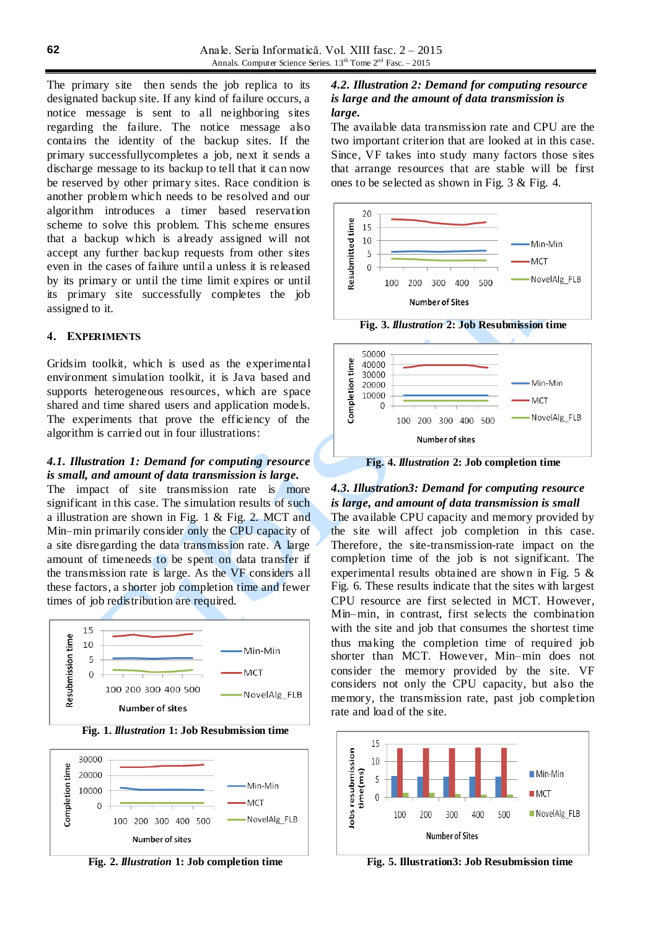The primary site then sends the job replica to its designated backup site. If any kind of failure occurs, a notice message is sent to all neighboring sites regarding the failure. The notice message also contains the identity of the backup sites. If the primary successfullycompletes a job, next it sends a discharge message to its backup to tell that it can now be reserved by other primary sites. Race condition is another problem which needs to be resolved and our algorithm introduces a timer based reservation scheme to solve this problem. This scheme ensures that a backup which is already assigned will not accept any further backup requests from other sites even in the cases of failure until a unless it is released by its primary or until the time limit expires or until its primary site successfully completes the job assigned to it.

### **4. EXPERIMENTS**

Gridsim toolkit, which is used as the experimental environment simulation toolkit, it is Java based and supports heterogeneous resources, which are space shared and time shared users and application models. The experiments that prove the efficiency of the algorithm is carried out in four illustrations:

#### *4.1. Illustration 1: Demand for computing resource is small, and amount of data transmission is large.*

The impact of site transmission rate is more significant in this case. The simulation results of such a illustration are shown in Fig. 1 & Fig. 2. MCT and Min–min primarily consider only the CPU capacity of a site disregarding the data transmission rate. A large amount of timeneeds to be spent on data transfer if the transmission rate is large. As the VF considers all these factors, a shorter job completion time and fewer times of job redistribution are required.



**Fig. 1.** *Illustration* **1: Job Resubmission time**



**Fig. 2.** *Illustration* **1: Job completion time**

## *4.2. Illustration 2: Demand for computing resource is large and the amount of data transmission is large.*

The available data transmission rate and CPU are the two important criterion that are looked at in this case. Since, VF takes into study many factors those sites that arrange resources that are stable will be first ones to be selected as shown in Fig. 3 & Fig. 4.







**Fig. 4.** *Illustration* **2: Job completion time**

## *4.3. Illustration3: Demand for computing resource is large, and amount of data transmission is small*

The available CPU capacity and memory provided by the site will affect job completion in this case. Therefore, the site-transmission-rate impact on the completion time of the job is not significant. The experimental results obtained are shown in Fig. 5 & Fig. 6. These results indicate that the sites with largest CPU resource are first selected in MCT. However, Min–min, in contrast, first selects the combination with the site and job that consumes the shortest time thus making the completion time of required job shorter than MCT. However, Min–min does not consider the memory provided by the site. VF considers not only the CPU capacity, but also the memory, the transmission rate, past job completion rate and load of the site.



**Fig. 5. Illustration3: Job Resubmission time**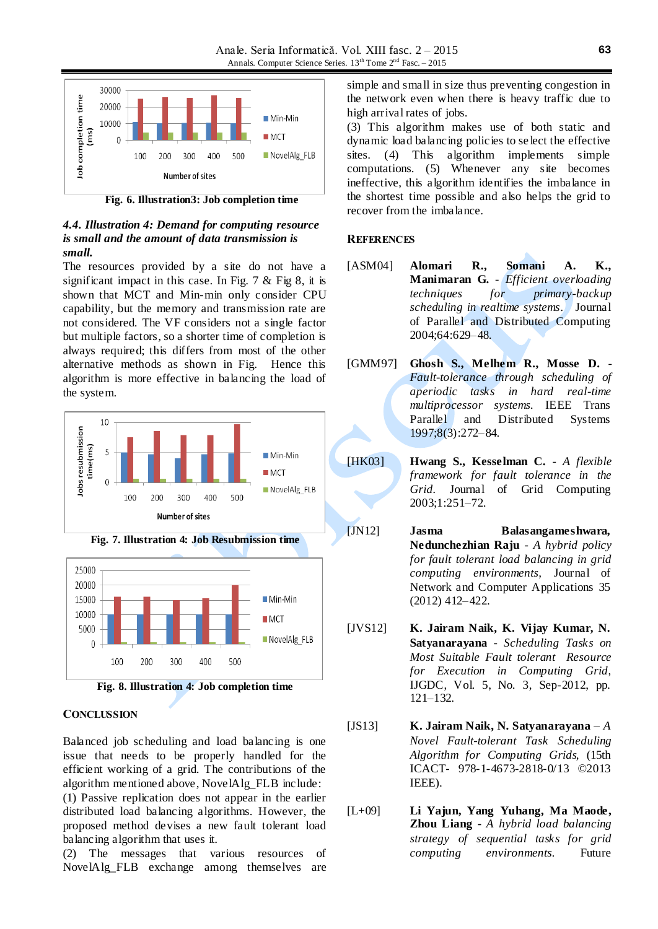

**Fig. 6. Illustration3: Job completion time**

## *4.4. Illustration 4: Demand for computing resource is small and the amount of data transmission is small.*

The resources provided by a site do not have a significant impact in this case. In Fig. 7 & Fig 8, it is shown that MCT and Min-min only consider CPU capability, but the memory and transmission rate are not considered. The VF considers not a single factor but multiple factors, so a shorter time of completion is always required; this differs from most of the other alternative methods as shown in Fig. Hence this algorithm is more effective in balancing the load of the system.



**Fig. 7. Illustration 4: Job Resubmission time**



**Fig. 8. Illustration 4: Job completion time**

### **CONCLUSSION**

Balanced job scheduling and load balancing is one issue that needs to be properly handled for the efficient working of a grid. The contributions of the algorithm mentioned above, NovelAlg\_FLB include: (1) Passive replication does not appear in the earlier distributed load balancing algorithms. However, the proposed method devises a new fault tolerant load balancing algorithm that uses it.

(2) The messages that various resources of NovelAlg\_FLB exchange among themselves are

simple and small in size thus preventing congestion in the network even when there is heavy traffic due to high arrival rates of jobs.

(3) This algorithm makes use of both static and dynamic load balancing policies to se lect the effective sites. (4) This algorithm implements simple computations. (5) Whenever any site becomes ineffective, this algorithm identifies the imbalance in the shortest time possible and also helps the grid to recover from the imbalance.

## **REFERENCES**

- [ASM04] **Alomari R., Somani A. K., Manimaran G.** - *Efficient overloading techniques for primary-backup scheduling in realtime systems*. Journal of Parallel and Distributed Computing 2004;64:629–48.
- [GMM97] **Ghosh S., Melhem R., Mosse D.** *Fault-tolerance through scheduling of aperiodic tasks in hard real-time multiprocessor systems.* IEEE Trans Parallel and Distributed Systems 1997;8(3):272–84.
- [HK03] **Hwang S., Kesselman C.** *A flexible framework for fault tolerance in the Grid.* Journal of Grid Computing 2003;1:251–72.
- [JN12] **Jasma Balasangameshwara, Nedunchezhian Raju** - *A hybrid policy for fault tolerant load balancing in grid computing environments,* Journal of Network and Computer Applications 35 (2012) 412–422.
- [JVS12] **K. Jairam Naik, K. Vijay Kumar, N. Satyanarayana** - *Scheduling Tasks on Most Suitable Fault tolerant Resource for Execution in Computing Grid*, IJGDC, Vol. 5, No. 3, Sep-2012, pp. 121–132.
- [JS13] **K. Jairam Naik, N. Satyanarayana** *A Novel Fault-tolerant Task Scheduling Algorithm for Computing Grids,* (15th ICACT- 978-1-4673-2818-0/13 ©2013 IEEE).
- [L+09] **Li Yajun, Yang Yuhang, Ma Maode, Zhou Liang -** *A hybrid load balancing strategy of sequential tasks for grid computing environments.* Future